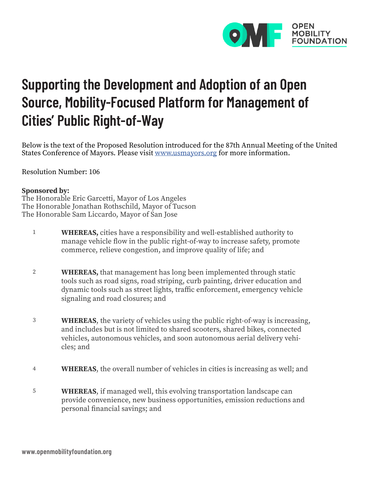

## **Supporting the Development and Adoption of an Open Source, Mobility-Focused Platform for Management of Cities' Public Right-of-Way**

Below is the text of the Proposed Resolution introduced for the 87th Annual Meeting of the United States Conference of Mayors. Please visit [www.usmayors.org](http://www.usmayors.org) for more information.

Resolution Number: 106

## **Sponsored by:**

The Honorable Eric Garcetti, Mayor of Los Angeles The Honorable Jonathan Rothschild, Mayor of Tucson The Honorable Sam Liccardo, Mayor of San Jose

- 1 **WHEREAS,** cities have a responsibility and well-established authority to manage vehicle flow in the public right-of-way to increase safety, promote commerce, relieve congestion, and improve quality of life; and
- 2 **WHEREAS,** that management has long been implemented through static tools such as road signs, road striping, curb painting, driver education and dynamic tools such as street lights, traffic enforcement, emergency vehicle signaling and road closures; and
- 3 **WHEREAS**, the variety of vehicles using the public right-of-way is increasing, and includes but is not limited to shared scooters, shared bikes, connected vehicles, autonomous vehicles, and soon autonomous aerial delivery vehicles; and
- 4 **WHEREAS**, the overall number of vehicles in cities is increasing as well; and
- 5 **WHEREAS**, if managed well, this evolving transportation landscape can provide convenience, new business opportunities, emission reductions and personal financial savings; and